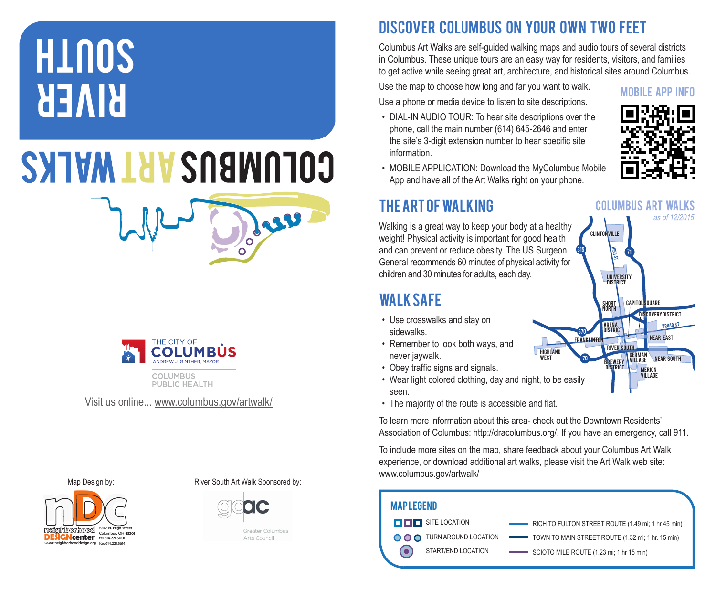# **REMRI HINOS**

# **COLUMBUS ART WALKS**



PUBLIC HEALTH

Visit us online... www.columbus.gov/artwalk/



Map Design by: River South Art Walk Sponsored by:



Greater Columbus Arts Council

Dess

# DISCOVER COLUMBUS ON YOUR OWN TWO FEET

Columbus Art Walks are self-guided walking maps and audio tours of several districts in Columbus. These unique tours are an easy way for residents, visitors, and families to get active while seeing great art, architecture, and historical sites around Columbus.

Use the map to choose how long and far you want to walk. Use a phone or media device to listen to site descriptions.

• DIAL-IN AUDIO TOUR: To hear site descriptions over the phone, call the main number (614) 645-2646 and enter the site's 3-digit extension number to hear specific site information.



• MOBILE APPLICATION: Download the MyColumbus Mobile App and have all of the Art Walks right on your phone.

## The Art of Walking

Walking is a great way to keep your body at a healthy weight! Physical activity is important for good health and can prevent or reduce obesity. The US Surgeon General recommends 60 minutes of physical activity for children and 30 minutes for adults, each day.

## Walk Safe

- Use crosswalks and stay on sidewalks.
- Remember to look both ways, and never jaywalk.
- Obey traffic signs and signals.
- Wear light colored clothing, day and night, to be easily seen.
- The majority of the route is accessible and flat.

To learn more information about this area- check out the Downtown Residents' Association of Columbus: http://dracolumbus.org/. If you have an emergency, call 911.

To include more sites on the map, share feedback about your Columbus Art Walk experience, or download additional art walks, please visit the Art Walk web site: www.columbus.gov/artwalk/

| <b>MAPLEGEND</b> |                            |                                                    |
|------------------|----------------------------|----------------------------------------------------|
|                  | <b>O O O</b> SITE LOCATION | RICH TO FULTON STREET ROUTE (1.49 mi; 1 hr 45 min) |
|                  | O O O TURN AROUND LOCATION | TOWN TO MAIN STREET ROUTE (1.32 mi; 1 hr. 15 min)  |
|                  | START/END LOCATION         | SCIOTO MILE ROUTE (1.23 mi; 1 hr 15 min)           |